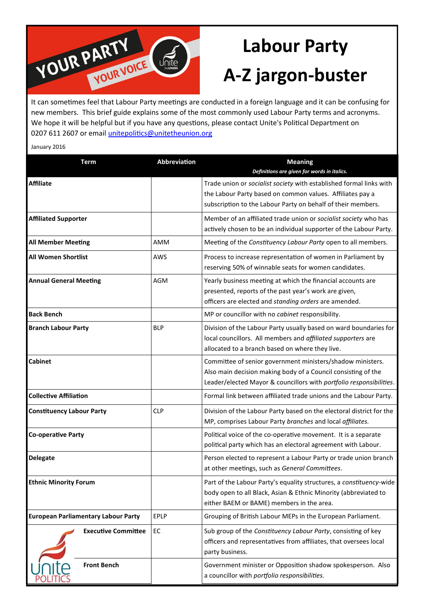

## **Labour Party A-Z jargon-buster**

new members. This brief guide explains some of the most commonly used Labour Party terms and acronyms. We hope it will be helpful but if you have any questions, please contact Unite's Political Department on 0207 611 2607 or email unitepolitics@unitetheunion.org

January 2016

| <b>Term</b>                                | Abbreviation | <b>Meaning</b><br>Definitions are given for words in italics.                                                                                                                                      |
|--------------------------------------------|--------------|----------------------------------------------------------------------------------------------------------------------------------------------------------------------------------------------------|
| <b>Affiliate</b>                           |              | Trade union or socialist society with established formal links with<br>the Labour Party based on common values. Affiliates pay a<br>subscription to the Labour Party on behalf of their members.   |
| <b>Affiliated Supporter</b>                |              | Member of an affiliated trade union or socialist society who has<br>actively chosen to be an individual supporter of the Labour Party.                                                             |
| <b>All Member Meeting</b>                  | AMM          | Meeting of the Constituency Labour Party open to all members.                                                                                                                                      |
| <b>All Women Shortlist</b>                 | AWS          | Process to increase representation of women in Parliament by<br>reserving 50% of winnable seats for women candidates.                                                                              |
| <b>Annual General Meeting</b>              | <b>AGM</b>   | Yearly business meeting at which the financial accounts are<br>presented, reports of the past year's work are given,<br>officers are elected and standing orders are amended.                      |
| <b>Back Bench</b>                          |              | MP or councillor with no cabinet responsibility.                                                                                                                                                   |
| <b>Branch Labour Party</b>                 | <b>BLP</b>   | Division of the Labour Party usually based on ward boundaries for<br>local councillors. All members and affiliated supporters are<br>allocated to a branch based on where they live.               |
| <b>Cabinet</b>                             |              | Committee of senior government ministers/shadow ministers.<br>Also main decision making body of a Council consisting of the<br>Leader/elected Mayor & councillors with portfolio responsibilities. |
| <b>Collective Affiliation</b>              |              | Formal link between affiliated trade unions and the Labour Party.                                                                                                                                  |
| <b>Constituency Labour Party</b>           | <b>CLP</b>   | Division of the Labour Party based on the electoral district for the<br>MP, comprises Labour Party branches and local affiliates.                                                                  |
| <b>Co-operative Party</b>                  |              | Political voice of the co-operative movement. It is a separate<br>political party which has an electoral agreement with Labour.                                                                    |
| <b>Delegate</b>                            |              | Person elected to represent a Labour Party or trade union branch<br>at other meetings, such as General Committees.                                                                                 |
| <b>Ethnic Minority Forum</b>               |              | Part of the Labour Party's equality structures, a constituency-wide<br>body open to all Black, Asian & Ethnic Minority (abbreviated to<br>either BAEM or BAME) members in the area.                |
| <b>European Parliamentary Labour Party</b> | EPLP         | Grouping of British Labour MEPs in the European Parliament.                                                                                                                                        |
| <b>Executive Committee</b>                 | EC           | Sub group of the Constituency Labour Party, consisting of key<br>officers and representatives from affiliates, that oversees local<br>party business.                                              |
| <b>Front Bench</b>                         |              | Government minister or Opposition shadow spokesperson. Also<br>a councillor with portfolio responsibilities.                                                                                       |